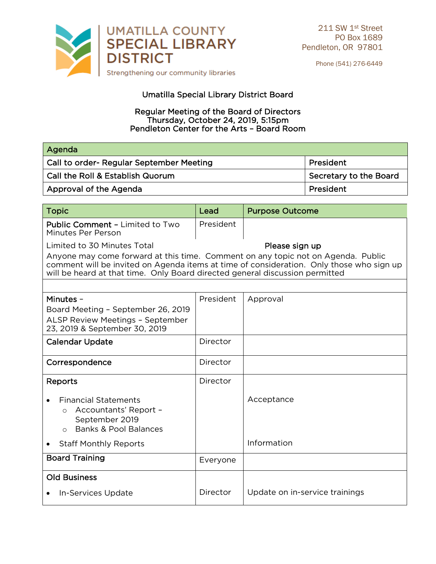

Phone (541) 276-6449

## Umatilla Special Library District Board

## Regular Meeting of the Board of Directors Regular Meeting of the Board of Board of Directors Thursday, October 24, 2019, Smalphin<br>Hieton Center for the Arts - Board Ro Pendleton Center for the Arts – Board Room

| Agenda                                   |                        |
|------------------------------------------|------------------------|
| Call to order- Regular September Meeting | President              |
| Call the Roll & Establish Quorum         | Secretary to the Board |
| Approval of the Agenda                   | President              |
|                                          |                        |

| <b>Topic</b>                                                                                                                                                                                                                                                 | Lead      | <b>Purpose Outcome</b>         |  |
|--------------------------------------------------------------------------------------------------------------------------------------------------------------------------------------------------------------------------------------------------------------|-----------|--------------------------------|--|
| Public Comment - Limited to Two<br>Minutes Per Person                                                                                                                                                                                                        | President |                                |  |
| Limited to 30 Minutes Total                                                                                                                                                                                                                                  |           | Please sign up                 |  |
| Anyone may come forward at this time. Comment on any topic not on Agenda. Public<br>comment will be invited on Agenda items at time of consideration. Only those who sign up<br>will be heard at that time. Only Board directed general discussion permitted |           |                                |  |
|                                                                                                                                                                                                                                                              |           |                                |  |
| Minutes -                                                                                                                                                                                                                                                    | President | Approval                       |  |
| Board Meeting - September 26, 2019                                                                                                                                                                                                                           |           |                                |  |
| <b>ALSP Review Meetings - September</b><br>23, 2019 & September 30, 2019                                                                                                                                                                                     |           |                                |  |
|                                                                                                                                                                                                                                                              |           |                                |  |
| <b>Calendar Update</b>                                                                                                                                                                                                                                       | Director  |                                |  |
| Correspondence                                                                                                                                                                                                                                               | Director  |                                |  |
| <b>Reports</b>                                                                                                                                                                                                                                               | Director  |                                |  |
| <b>Financial Statements</b><br>Accountants' Report -<br>$\circ$<br>September 2019<br><b>Banks &amp; Pool Balances</b><br>$\bigcirc$                                                                                                                          |           | Acceptance                     |  |
| <b>Staff Monthly Reports</b>                                                                                                                                                                                                                                 |           | Information                    |  |
| <b>Board Training</b>                                                                                                                                                                                                                                        | Everyone  |                                |  |
| <b>Old Business</b>                                                                                                                                                                                                                                          |           |                                |  |
| In-Services Update                                                                                                                                                                                                                                           | Director  | Update on in-service trainings |  |